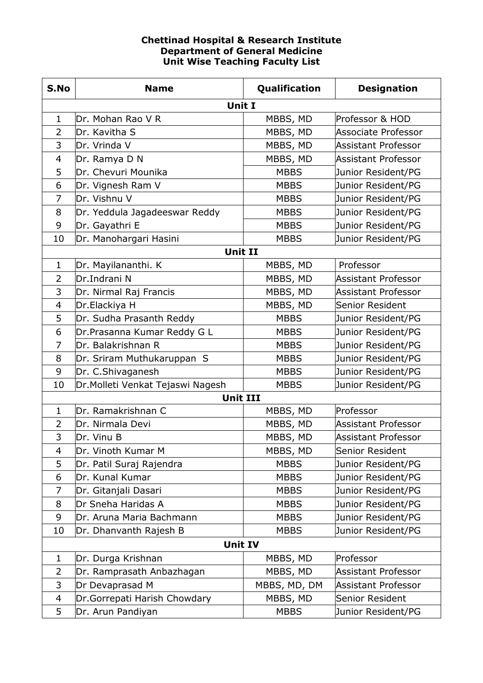## **Chettinad Hospital & Research Institute Department of General Medicine Unit Wise Teaching Faculty List**

| S.No           | <b>Name</b>                      | Qualification | <b>Designation</b>         |
|----------------|----------------------------------|---------------|----------------------------|
|                | Unit I                           |               |                            |
| $\mathbf 1$    | Dr. Mohan Rao V R                | MBBS, MD      | Professor & HOD            |
| $\overline{2}$ | Dr. Kavitha S                    | MBBS, MD      | <b>Associate Professor</b> |
| 3              | Dr. Vrinda V                     | MBBS, MD      | <b>Assistant Professor</b> |
| $\overline{4}$ | Dr. Ramya D N                    | MBBS, MD      | <b>Assistant Professor</b> |
| 5              | Dr. Chevuri Mounika              | <b>MBBS</b>   | Junior Resident/PG         |
| 6              | Dr. Vignesh Ram V                | <b>MBBS</b>   | Junior Resident/PG         |
| $\overline{7}$ | Dr. Vishnu V                     | <b>MBBS</b>   | Junior Resident/PG         |
| 8              | Dr. Yeddula Jagadeeswar Reddy    | <b>MBBS</b>   | Junior Resident/PG         |
| 9              | Dr. Gayathri E                   | <b>MBBS</b>   | Junior Resident/PG         |
| 10             | Dr. Manohargari Hasini           | <b>MBBS</b>   | Junior Resident/PG         |
|                | <b>Unit II</b>                   |               |                            |
| 1              | Dr. Mayilananthi. K              | MBBS, MD      | Professor                  |
| $\overline{2}$ | Dr.Indrani N                     | MBBS, MD      | <b>Assistant Professor</b> |
| 3              | Dr. Nirmal Raj Francis           | MBBS, MD      | <b>Assistant Professor</b> |
| $\overline{4}$ | Dr.Elackiya H                    | MBBS, MD      | Senior Resident            |
| 5              | Dr. Sudha Prasanth Reddy         | <b>MBBS</b>   | Junior Resident/PG         |
| 6              | Dr.Prasanna Kumar Reddy G L      | <b>MBBS</b>   | Junior Resident/PG         |
| $\overline{7}$ | Dr. Balakrishnan R               | <b>MBBS</b>   | Junior Resident/PG         |
| 8              | Dr. Sriram Muthukaruppan S       | <b>MBBS</b>   | Junior Resident/PG         |
| 9              | Dr. C.Shivaganesh                | <b>MBBS</b>   | Junior Resident/PG         |
| 10             | Dr.Molleti Venkat Tejaswi Nagesh | <b>MBBS</b>   | Junior Resident/PG         |
|                | <b>Unit III</b>                  |               |                            |
| $\mathbf{1}$   | Dr. Ramakrishnan C               | MBBS, MD      | Professor                  |
| $\overline{2}$ | Dr. Nirmala Devi                 | MBBS, MD      | <b>Assistant Professor</b> |
| 3              | Dr. Vinu B                       | MBBS, MD      | <b>Assistant Professor</b> |
| 4              | Dr. Vinoth Kumar M               | MBBS, MD      | Senior Resident            |
| 5              | Dr. Patil Suraj Rajendra         | <b>MBBS</b>   | Junior Resident/PG         |
| 6              | Dr. Kunal Kumar                  | <b>MBBS</b>   | Junior Resident/PG         |
| $\overline{7}$ | Dr. Gitanjali Dasari             | <b>MBBS</b>   | Junior Resident/PG         |
| 8              | Dr Sneha Haridas A               | <b>MBBS</b>   | Junior Resident/PG         |
| 9              | Dr. Aruna Maria Bachmann         | <b>MBBS</b>   | Junior Resident/PG         |
| 10             | Dr. Dhanvanth Rajesh B           | <b>MBBS</b>   | Junior Resident/PG         |
|                | <b>Unit IV</b>                   |               |                            |
| $\mathbf 1$    | Dr. Durga Krishnan               | MBBS, MD      | Professor                  |
| 2              | Dr. Ramprasath Anbazhagan        | MBBS, MD      | <b>Assistant Professor</b> |
| 3              | Dr Devaprasad M                  | MBBS, MD, DM  | <b>Assistant Professor</b> |
| $\overline{4}$ | Dr.Gorrepati Harish Chowdary     | MBBS, MD      | Senior Resident            |
| 5              | Dr. Arun Pandiyan                | <b>MBBS</b>   | Junior Resident/PG         |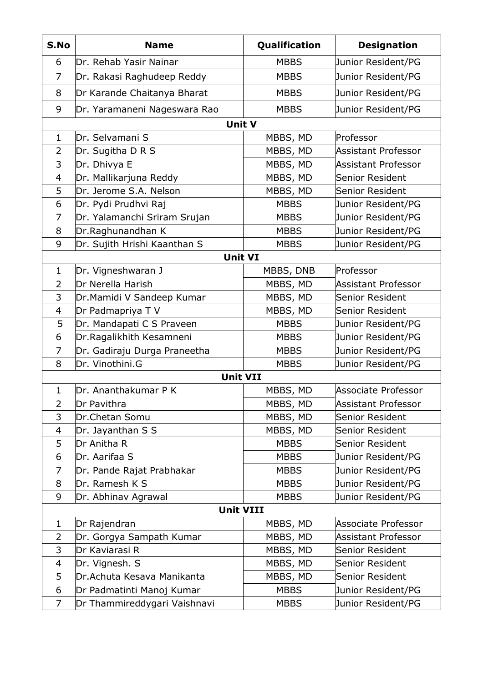| S.No           | <b>Name</b>                  | Qualification | <b>Designation</b>         |
|----------------|------------------------------|---------------|----------------------------|
| 6              | Dr. Rehab Yasir Nainar       | <b>MBBS</b>   | Junior Resident/PG         |
| 7              | Dr. Rakasi Raghudeep Reddy   | <b>MBBS</b>   | Junior Resident/PG         |
| 8              | Dr Karande Chaitanya Bharat  | <b>MBBS</b>   | Junior Resident/PG         |
| 9              | Dr. Yaramaneni Nageswara Rao | <b>MBBS</b>   | Junior Resident/PG         |
|                | Unit V                       |               |                            |
| $\mathbf{1}$   | Dr. Selvamani S              | MBBS, MD      | Professor                  |
| $\overline{2}$ | Dr. Sugitha D R S            | MBBS, MD      | <b>Assistant Professor</b> |
| 3              | Dr. Dhivya E                 | MBBS, MD      | <b>Assistant Professor</b> |
| 4              | Dr. Mallikarjuna Reddy       | MBBS, MD      | <b>Senior Resident</b>     |
| 5              | Dr. Jerome S.A. Nelson       | MBBS, MD      | Senior Resident            |
| 6              | Dr. Pydi Prudhvi Raj         | <b>MBBS</b>   | Junior Resident/PG         |
| 7              | Dr. Yalamanchi Sriram Srujan | <b>MBBS</b>   | Junior Resident/PG         |
| 8              | Dr.Raghunandhan K            | <b>MBBS</b>   | Junior Resident/PG         |
| 9              | Dr. Sujith Hrishi Kaanthan S | <b>MBBS</b>   | Junior Resident/PG         |
|                | <b>Unit VI</b>               |               |                            |
| $\mathbf{1}$   | Dr. Vigneshwaran J           | MBBS, DNB     | Professor                  |
| $\overline{2}$ | Dr Nerella Harish            | MBBS, MD      | <b>Assistant Professor</b> |
| 3              | Dr. Mamidi V Sandeep Kumar   | MBBS, MD      | Senior Resident            |
| 4              | Dr Padmapriya TV             | MBBS, MD      | Senior Resident            |
| 5              | Dr. Mandapati C S Praveen    | <b>MBBS</b>   | Junior Resident/PG         |
| 6              | Dr.Ragalikhith Kesamneni     | <b>MBBS</b>   | Junior Resident/PG         |
| 7              | Dr. Gadiraju Durga Praneetha | <b>MBBS</b>   | Junior Resident/PG         |
| 8              | Dr. Vinothini.G              | <b>MBBS</b>   | Junior Resident/PG         |
|                | <b>Unit VII</b>              |               |                            |
| $\mathbf{1}$   | Dr. Ananthakumar P K         | MBBS, MD      | Associate Professor        |
| 2              | Dr Pavithra                  | MBBS, MD      | <b>Assistant Professor</b> |
| 3              | Dr.Chetan Somu               | MBBS, MD      | Senior Resident            |
| 4              | Dr. Jayanthan S S            | MBBS, MD      | Senior Resident            |
| 5              | Dr Anitha R                  | <b>MBBS</b>   | Senior Resident            |
| 6              | Dr. Aarifaa S                | <b>MBBS</b>   | Junior Resident/PG         |
| 7              | Dr. Pande Rajat Prabhakar    | <b>MBBS</b>   | Junior Resident/PG         |
| 8              | Dr. Ramesh K S               | <b>MBBS</b>   | Junior Resident/PG         |
| 9              | Dr. Abhinav Agrawal          | <b>MBBS</b>   | Junior Resident/PG         |
|                | <b>Unit VIII</b>             |               |                            |
| 1              | Dr Rajendran                 | MBBS, MD      | <b>Associate Professor</b> |
| $\overline{2}$ | Dr. Gorgya Sampath Kumar     | MBBS, MD      | <b>Assistant Professor</b> |
| 3              | Dr Kaviarasi R               | MBBS, MD      | Senior Resident            |
| 4              | Dr. Vignesh. S               | MBBS, MD      | Senior Resident            |
| 5              | Dr. Achuta Kesava Manikanta  | MBBS, MD      | Senior Resident            |
| 6              | Dr Padmatinti Manoj Kumar    | <b>MBBS</b>   | Junior Resident/PG         |
| 7              | Dr Thammireddygari Vaishnavi | <b>MBBS</b>   | Junior Resident/PG         |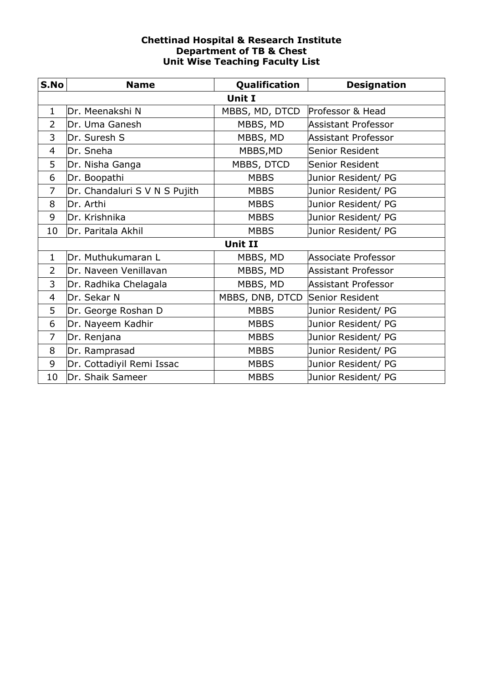## **Chettinad Hospital & Research Institute Department of TB & Chest Unit Wise Teaching Faculty List**

| S.No           | <b>Name</b>                   | Qualification                   | <b>Designation</b>         |
|----------------|-------------------------------|---------------------------------|----------------------------|
|                |                               | Unit I                          |                            |
| $\mathbf{1}$   | Dr. Meenakshi N               | MBBS, MD, DTCD                  | Professor & Head           |
| $\overline{2}$ | Dr. Uma Ganesh                | MBBS, MD                        | <b>Assistant Professor</b> |
| 3              | Dr. Suresh S                  | MBBS, MD                        | Assistant Professor        |
| 4              | Dr. Sneha                     | MBBS, MD                        | Senior Resident            |
| 5              | Dr. Nisha Ganga               | MBBS, DTCD                      | Senior Resident            |
| 6              | Dr. Boopathi                  | <b>MBBS</b>                     | Junior Resident/ PG        |
| 7              | Dr. Chandaluri S V N S Pujith | <b>MBBS</b>                     | Junior Resident/ PG        |
| 8              | Dr. Arthi                     | <b>MBBS</b>                     | Junior Resident/ PG        |
| 9              | Dr. Krishnika                 | <b>MBBS</b>                     | Junior Resident/ PG        |
| 10             | Dr. Paritala Akhil            | <b>MBBS</b>                     | Junior Resident/ PG        |
|                |                               | <b>Unit II</b>                  |                            |
| $\mathbf{1}$   | Dr. Muthukumaran L            | MBBS, MD                        | Associate Professor        |
| $\overline{2}$ | Dr. Naveen Venillavan         | MBBS, MD                        | <b>Assistant Professor</b> |
| 3              | Dr. Radhika Chelagala         | MBBS, MD                        | <b>Assistant Professor</b> |
| 4              | Dr. Sekar N                   | MBBS, DNB, DTCD Senior Resident |                            |
| 5              | Dr. George Roshan D           | <b>MBBS</b>                     | Junior Resident/ PG        |
| 6              | Dr. Nayeem Kadhir             | <b>MBBS</b>                     | Junior Resident/ PG        |
| 7              | Dr. Renjana                   | <b>MBBS</b>                     | Junior Resident/ PG        |
| 8              | Dr. Ramprasad                 | <b>MBBS</b>                     | Junior Resident/ PG        |
| 9              | Dr. Cottadiyil Remi Issac     | <b>MBBS</b>                     | Junior Resident/ PG        |
| 10             | Dr. Shaik Sameer              | <b>MBBS</b>                     | Junior Resident/ PG        |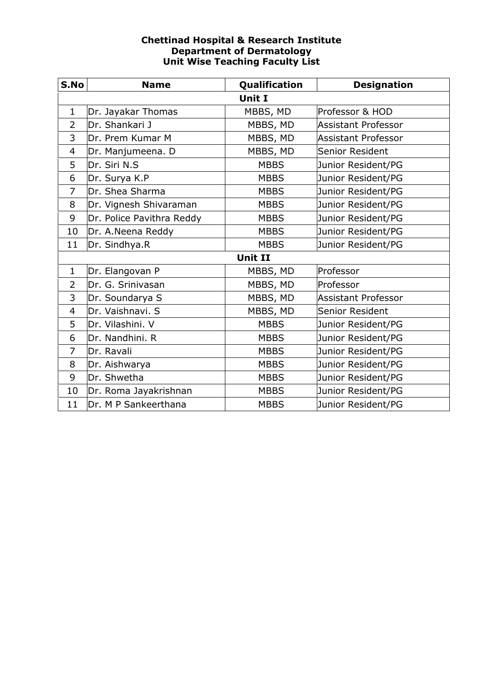## **Chettinad Hospital & Research Institute Department of Dermatology Unit Wise Teaching Faculty List**

| S.No           | <b>Name</b>               | Qualification  | <b>Designation</b>  |  |  |
|----------------|---------------------------|----------------|---------------------|--|--|
|                | <b>Unit I</b>             |                |                     |  |  |
| $\mathbf{1}$   | Dr. Jayakar Thomas        | MBBS, MD       | Professor & HOD     |  |  |
| $\overline{2}$ | Dr. Shankari J            | MBBS, MD       | Assistant Professor |  |  |
| 3              | Dr. Prem Kumar M          | MBBS, MD       | Assistant Professor |  |  |
| $\overline{4}$ | Dr. Manjumeena. D         | MBBS, MD       | Senior Resident     |  |  |
| 5              | Dr. Siri N.S              | <b>MBBS</b>    | Junior Resident/PG  |  |  |
| 6              | Dr. Surya K.P             | <b>MBBS</b>    | Junior Resident/PG  |  |  |
| $\overline{7}$ | Dr. Shea Sharma           | <b>MBBS</b>    | Junior Resident/PG  |  |  |
| 8              | Dr. Vignesh Shivaraman    | <b>MBBS</b>    | Junior Resident/PG  |  |  |
| 9              | Dr. Police Pavithra Reddy | <b>MBBS</b>    | Junior Resident/PG  |  |  |
| 10             | Dr. A. Neena Reddy        | <b>MBBS</b>    | Junior Resident/PG  |  |  |
| 11             | Dr. Sindhya.R             | <b>MBBS</b>    | Junior Resident/PG  |  |  |
|                |                           | <b>Unit II</b> |                     |  |  |
| $\mathbf{1}$   | Dr. Elangovan P           | MBBS, MD       | Professor           |  |  |
| $\overline{2}$ | Dr. G. Srinivasan         | MBBS, MD       | Professor           |  |  |
| 3              | Dr. Soundarya S           | MBBS, MD       | Assistant Professor |  |  |
| $\overline{4}$ | Dr. Vaishnavi. S          | MBBS, MD       | Senior Resident     |  |  |
| 5              | Dr. Vilashini. V          | <b>MBBS</b>    | Junior Resident/PG  |  |  |
| 6              | Dr. Nandhini. R           | <b>MBBS</b>    | Junior Resident/PG  |  |  |
| $\overline{7}$ | Dr. Ravali                | <b>MBBS</b>    | Junior Resident/PG  |  |  |
| 8              | Dr. Aishwarya             | <b>MBBS</b>    | Junior Resident/PG  |  |  |
| 9              | Dr. Shwetha               | <b>MBBS</b>    | Junior Resident/PG  |  |  |
| 10             | Dr. Roma Jayakrishnan     | <b>MBBS</b>    | Junior Resident/PG  |  |  |
| 11             | Dr. M P Sankeerthana      | <b>MBBS</b>    | Junior Resident/PG  |  |  |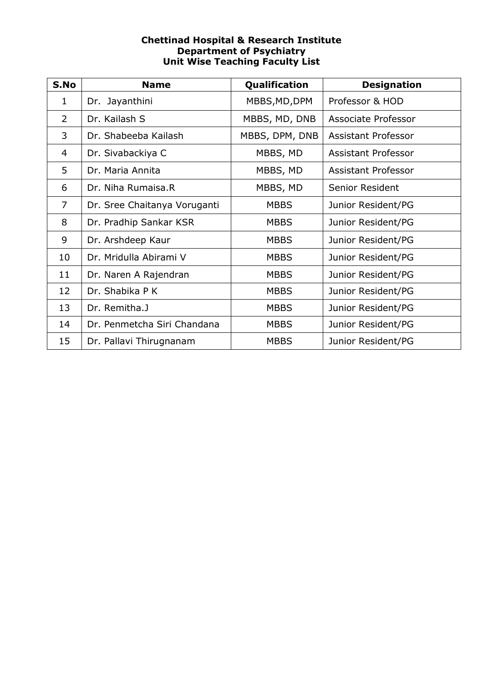## **Chettinad Hospital & Research Institute Department of Psychiatry Unit Wise Teaching Faculty List**

| S.No           | <b>Name</b>                  | Qualification  | <b>Designation</b>         |
|----------------|------------------------------|----------------|----------------------------|
| 1              | Dr. Jayanthini               | MBBS, MD, DPM  | Professor & HOD            |
| $\overline{2}$ | Dr. Kailash S                | MBBS, MD, DNB  | Associate Professor        |
| 3              | Dr. Shabeeba Kailash         | MBBS, DPM, DNB | Assistant Professor        |
| 4              | Dr. Sivabackiya C            | MBBS, MD       | Assistant Professor        |
| 5              | Dr. Maria Annita             | MBBS, MD       | <b>Assistant Professor</b> |
| 6              | Dr. Niha Rumaisa.R           | MBBS, MD       | Senior Resident            |
| $\overline{7}$ | Dr. Sree Chaitanya Voruganti | <b>MBBS</b>    | Junior Resident/PG         |
| 8              | Dr. Pradhip Sankar KSR       | <b>MBBS</b>    | Junior Resident/PG         |
| 9              | Dr. Arshdeep Kaur            | <b>MBBS</b>    | Junior Resident/PG         |
| 10             | Dr. Mridulla Abirami V       | <b>MBBS</b>    | Junior Resident/PG         |
| 11             | Dr. Naren A Rajendran        | <b>MBBS</b>    | Junior Resident/PG         |
| 12             | Dr. Shabika P K              | <b>MBBS</b>    | Junior Resident/PG         |
| 13             | Dr. Remitha.J                | <b>MBBS</b>    | Junior Resident/PG         |
| 14             | Dr. Penmetcha Siri Chandana  | <b>MBBS</b>    | Junior Resident/PG         |
| 15             | Dr. Pallavi Thirugnanam      | <b>MBBS</b>    | Junior Resident/PG         |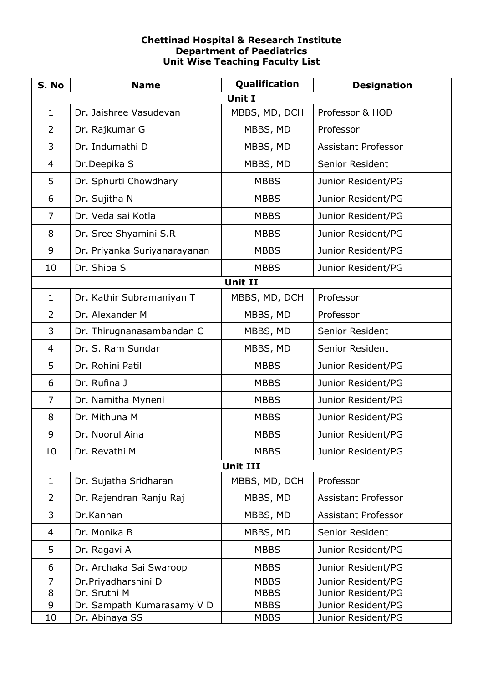## **Chettinad Hospital & Research Institute Department of Paediatrics Unit Wise Teaching Faculty List**

| S. No          | <b>Name</b>                  | Qualification   | <b>Designation</b>         |
|----------------|------------------------------|-----------------|----------------------------|
|                |                              | <b>Unit I</b>   |                            |
| $\mathbf{1}$   | Dr. Jaishree Vasudevan       | MBBS, MD, DCH   | Professor & HOD            |
| $\overline{2}$ | Dr. Rajkumar G               | MBBS, MD        | Professor                  |
| 3              | Dr. Indumathi D              | MBBS, MD        | <b>Assistant Professor</b> |
| 4              | Dr.Deepika S                 | MBBS, MD        | <b>Senior Resident</b>     |
| 5              | Dr. Sphurti Chowdhary        | <b>MBBS</b>     | Junior Resident/PG         |
| 6              | Dr. Sujitha N                | <b>MBBS</b>     | Junior Resident/PG         |
| $\overline{7}$ | Dr. Veda sai Kotla           | <b>MBBS</b>     | Junior Resident/PG         |
| 8              | Dr. Sree Shyamini S.R        | <b>MBBS</b>     | Junior Resident/PG         |
| 9              | Dr. Priyanka Suriyanarayanan | <b>MBBS</b>     | Junior Resident/PG         |
| 10             | Dr. Shiba S                  | <b>MBBS</b>     | Junior Resident/PG         |
|                |                              | <b>Unit II</b>  |                            |
| $\mathbf{1}$   | Dr. Kathir Subramaniyan T    | MBBS, MD, DCH   | Professor                  |
| $\overline{2}$ | Dr. Alexander M              | MBBS, MD        | Professor                  |
| 3              | Dr. Thirugnanasambandan C    | MBBS, MD        | Senior Resident            |
| 4              | Dr. S. Ram Sundar            | MBBS, MD        | <b>Senior Resident</b>     |
| 5              | Dr. Rohini Patil             | <b>MBBS</b>     | Junior Resident/PG         |
| 6              | Dr. Rufina J                 | <b>MBBS</b>     | Junior Resident/PG         |
| $\overline{7}$ | Dr. Namitha Myneni           | <b>MBBS</b>     | Junior Resident/PG         |
| 8              | Dr. Mithuna M                | <b>MBBS</b>     | Junior Resident/PG         |
| 9              | Dr. Noorul Aina              | <b>MBBS</b>     | Junior Resident/PG         |
| 10             | Dr. Revathi M                | <b>MBBS</b>     | Junior Resident/PG         |
|                |                              | <b>Unit III</b> |                            |
| $\mathbf{1}$   | Dr. Sujatha Sridharan        | MBBS, MD, DCH   | Professor                  |
| 2              | Dr. Rajendran Ranju Raj      | MBBS, MD        | <b>Assistant Professor</b> |
| 3              | Dr.Kannan                    | MBBS, MD        | <b>Assistant Professor</b> |
| 4              | Dr. Monika B                 | MBBS, MD        | Senior Resident            |
| 5              | Dr. Ragavi A                 | <b>MBBS</b>     | Junior Resident/PG         |
| 6              | Dr. Archaka Sai Swaroop      | <b>MBBS</b>     | Junior Resident/PG         |
| $\overline{7}$ | Dr.Priyadharshini D          | <b>MBBS</b>     | Junior Resident/PG         |
| 8              | Dr. Sruthi M                 | <b>MBBS</b>     | Junior Resident/PG         |
| 9              | Dr. Sampath Kumarasamy V D   | <b>MBBS</b>     | Junior Resident/PG         |
| 10             | Dr. Abinaya SS               | <b>MBBS</b>     | Junior Resident/PG         |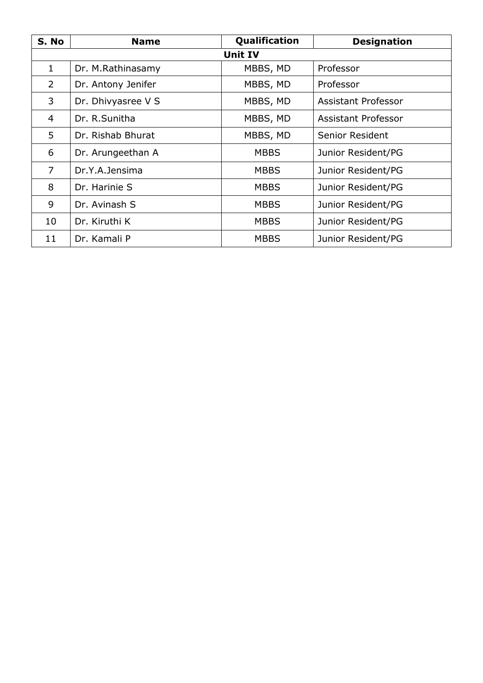| S. No          | <b>Name</b>        | Qualification  | <b>Designation</b>         |
|----------------|--------------------|----------------|----------------------------|
|                |                    | <b>Unit IV</b> |                            |
| $\mathbf{1}$   | Dr. M.Rathinasamy  | MBBS, MD       | Professor                  |
| $\overline{2}$ | Dr. Antony Jenifer | MBBS, MD       | Professor                  |
| 3              | Dr. Dhivyasree V S | MBBS, MD       | Assistant Professor        |
| 4              | Dr. R.Sunitha      | MBBS, MD       | <b>Assistant Professor</b> |
| 5              | Dr. Rishab Bhurat  | MBBS, MD       | Senior Resident            |
| 6              | Dr. Arungeethan A  | <b>MBBS</b>    | Junior Resident/PG         |
| $\overline{7}$ | Dr.Y.A.Jensima     | <b>MBBS</b>    | Junior Resident/PG         |
| 8              | Dr. Harinie S      | <b>MBBS</b>    | Junior Resident/PG         |
| 9              | Dr. Avinash S      | <b>MBBS</b>    | Junior Resident/PG         |
| 10             | Dr. Kiruthi K      | <b>MBBS</b>    | Junior Resident/PG         |
| 11             | Dr. Kamali P       | <b>MBBS</b>    | Junior Resident/PG         |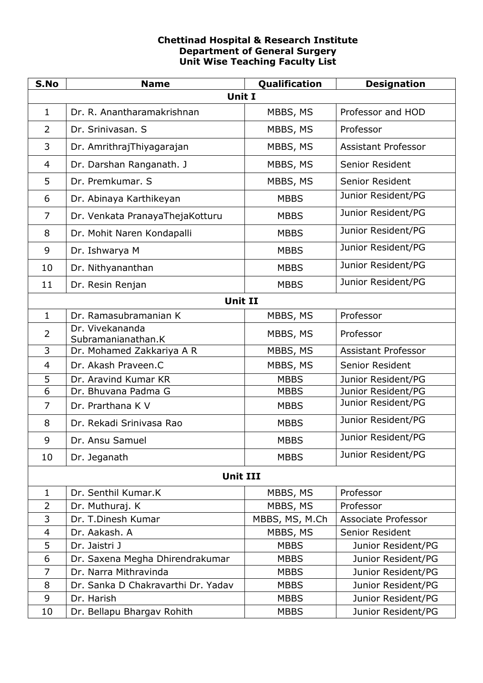# **Chettinad Hospital & Research Institute Department of General Surgery Unit Wise Teaching Faculty List**

| S.No           | <b>Name</b>                           | Qualification  | <b>Designation</b>         |
|----------------|---------------------------------------|----------------|----------------------------|
|                | <b>Unit I</b>                         |                |                            |
| $\mathbf{1}$   | Dr. R. Anantharamakrishnan            | MBBS, MS       | Professor and HOD          |
| $\overline{2}$ | Dr. Srinivasan. S                     | MBBS, MS       | Professor                  |
| 3              | Dr. AmrithrajThiyagarajan             | MBBS, MS       | <b>Assistant Professor</b> |
| 4              | Dr. Darshan Ranganath. J              | MBBS, MS       | Senior Resident            |
| 5              | Dr. Premkumar. S                      | MBBS, MS       | Senior Resident            |
| 6              | Dr. Abinaya Karthikeyan               | <b>MBBS</b>    | Junior Resident/PG         |
| $\overline{7}$ | Dr. Venkata PranayaThejaKotturu       | <b>MBBS</b>    | Junior Resident/PG         |
| 8              | Dr. Mohit Naren Kondapalli            | <b>MBBS</b>    | Junior Resident/PG         |
| 9              | Dr. Ishwarya M                        | <b>MBBS</b>    | Junior Resident/PG         |
| 10             | Dr. Nithyananthan                     | <b>MBBS</b>    | Junior Resident/PG         |
| 11             | Dr. Resin Renjan                      | <b>MBBS</b>    | Junior Resident/PG         |
|                | <b>Unit II</b>                        |                |                            |
| $\mathbf{1}$   | Dr. Ramasubramanian K                 | MBBS, MS       | Professor                  |
| $\overline{2}$ | Dr. Vivekananda<br>Subramanianathan.K | MBBS, MS       | Professor                  |
| 3              | Dr. Mohamed Zakkariya A R             | MBBS, MS       | <b>Assistant Professor</b> |
| 4              | Dr. Akash Praveen.C                   | MBBS, MS       | <b>Senior Resident</b>     |
| 5              | Dr. Aravind Kumar KR                  | <b>MBBS</b>    | Junior Resident/PG         |
| 6              | Dr. Bhuvana Padma G                   | <b>MBBS</b>    | Junior Resident/PG         |
| $\overline{7}$ | Dr. Prarthana K V                     | <b>MBBS</b>    | Junior Resident/PG         |
| 8              | Dr. Rekadi Srinivasa Rao              | <b>MBBS</b>    | Junior Resident/PG         |
| 9              | Dr. Ansu Samuel                       | <b>MBBS</b>    | Junior Resident/PG         |
| 10             | Dr. Jeganath                          | <b>MBBS</b>    | Junior Resident/PG         |
|                | <b>Unit III</b>                       |                |                            |
| $\mathbf{1}$   | Dr. Senthil Kumar.K                   | MBBS, MS       | Professor                  |
| $\overline{2}$ | Dr. Muthuraj. K                       | MBBS, MS       | Professor                  |
| 3              | Dr. T.Dinesh Kumar                    | MBBS, MS, M.Ch | Associate Professor        |
| 4              | Dr. Aakash. A                         | MBBS, MS       | Senior Resident            |
| 5              | Dr. Jaistri J                         | <b>MBBS</b>    | Junior Resident/PG         |
| 6              | Dr. Saxena Megha Dhirendrakumar       | <b>MBBS</b>    | Junior Resident/PG         |
| $\overline{7}$ | Dr. Narra Mithravinda                 | <b>MBBS</b>    | Junior Resident/PG         |
| 8              | Dr. Sanka D Chakravarthi Dr. Yadav    | <b>MBBS</b>    | Junior Resident/PG         |
| 9              | Dr. Harish                            | <b>MBBS</b>    | Junior Resident/PG         |
| 10             | Dr. Bellapu Bhargav Rohith            | <b>MBBS</b>    | Junior Resident/PG         |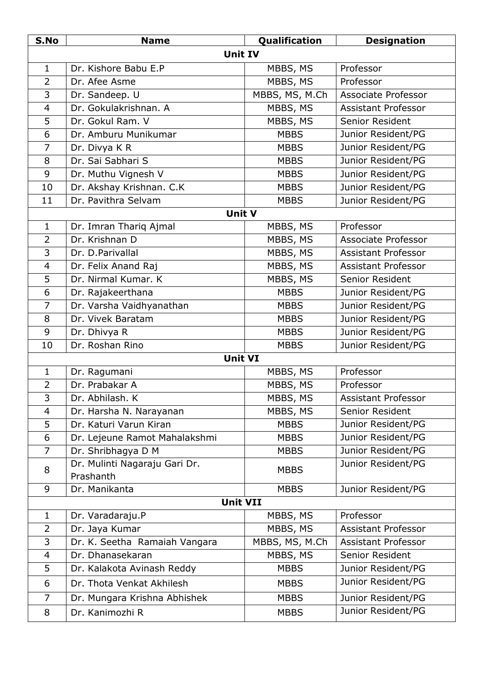| S.No           | <b>Name</b>                   | Qualification  | <b>Designation</b>         |
|----------------|-------------------------------|----------------|----------------------------|
|                | <b>Unit IV</b>                |                |                            |
| $\mathbf{1}$   | Dr. Kishore Babu E.P          | MBBS, MS       | Professor                  |
| $\overline{2}$ | Dr. Afee Asme                 | MBBS, MS       | Professor                  |
| 3              | Dr. Sandeep. U                | MBBS, MS, M.Ch | Associate Professor        |
| 4              | Dr. Gokulakrishnan. A         | MBBS, MS       | <b>Assistant Professor</b> |
| 5              | Dr. Gokul Ram. V              | MBBS, MS       | Senior Resident            |
| 6              | Dr. Amburu Munikumar          | <b>MBBS</b>    | Junior Resident/PG         |
| $\overline{7}$ | Dr. Divya K R                 | <b>MBBS</b>    | Junior Resident/PG         |
| 8              | Dr. Sai Sabhari S             | <b>MBBS</b>    | Junior Resident/PG         |
| 9              | Dr. Muthu Vignesh V           | <b>MBBS</b>    | Junior Resident/PG         |
| 10             | Dr. Akshay Krishnan. C.K      | <b>MBBS</b>    | Junior Resident/PG         |
| 11             | Dr. Pavithra Selvam           | <b>MBBS</b>    | Junior Resident/PG         |
|                | <b>Unit V</b>                 |                |                            |
| $\mathbf{1}$   | Dr. Imran Thariq Ajmal        | MBBS, MS       | Professor                  |
| $\overline{2}$ | Dr. Krishnan D                | MBBS, MS       | Associate Professor        |
| 3              | Dr. D.Parivallal              | MBBS, MS       | <b>Assistant Professor</b> |
| $\overline{4}$ | Dr. Felix Anand Raj           | MBBS, MS       | <b>Assistant Professor</b> |
| 5              | Dr. Nirmal Kumar. K           | MBBS, MS       | Senior Resident            |
| 6              | Dr. Rajakeerthana             | <b>MBBS</b>    | Junior Resident/PG         |
| $\overline{7}$ | Dr. Varsha Vaidhyanathan      | <b>MBBS</b>    | Junior Resident/PG         |
| 8              | Dr. Vivek Baratam             | <b>MBBS</b>    | Junior Resident/PG         |
| 9              | Dr. Dhivya R                  | <b>MBBS</b>    | Junior Resident/PG         |
| 10             | Dr. Roshan Rino               | <b>MBBS</b>    | Junior Resident/PG         |
|                | <b>Unit VI</b>                |                |                            |
| 1              | Dr. Ragumani                  | MBBS, MS       | Professor                  |
| $\overline{2}$ | Dr. Prabakar A                | MBBS, MS       | Professor                  |
| 3              | Dr. Abhilash. K               | MBBS, MS       | <b>Assistant Professor</b> |
| 4              | Dr. Harsha N. Narayanan       | MBBS, MS       | Senior Resident            |
| 5              | Dr. Katuri Varun Kiran        | <b>MBBS</b>    | Junior Resident/PG         |
| 6              | Dr. Lejeune Ramot Mahalakshmi | <b>MBBS</b>    | Junior Resident/PG         |
| $\overline{7}$ | Dr. Shribhagya D M            | <b>MBBS</b>    | Junior Resident/PG         |
| 8              | Dr. Mulinti Nagaraju Gari Dr. | <b>MBBS</b>    | Junior Resident/PG         |
|                | Prashanth                     |                |                            |
| 9              | Dr. Manikanta                 | <b>MBBS</b>    | Junior Resident/PG         |
|                | <b>Unit VII</b>               |                |                            |
| $\mathbf{1}$   | Dr. Varadaraju.P              | MBBS, MS       | Professor                  |
| $\overline{2}$ | Dr. Jaya Kumar                | MBBS, MS       | <b>Assistant Professor</b> |
| 3              | Dr. K. Seetha Ramaiah Vangara | MBBS, MS, M.Ch | <b>Assistant Professor</b> |
| 4              | Dr. Dhanasekaran              | MBBS, MS       | Senior Resident            |
| 5              | Dr. Kalakota Avinash Reddy    | <b>MBBS</b>    | Junior Resident/PG         |
| 6              | Dr. Thota Venkat Akhilesh     | <b>MBBS</b>    | Junior Resident/PG         |
| 7              | Dr. Mungara Krishna Abhishek  | <b>MBBS</b>    | Junior Resident/PG         |
| 8              | Dr. Kanimozhi R               | <b>MBBS</b>    | Junior Resident/PG         |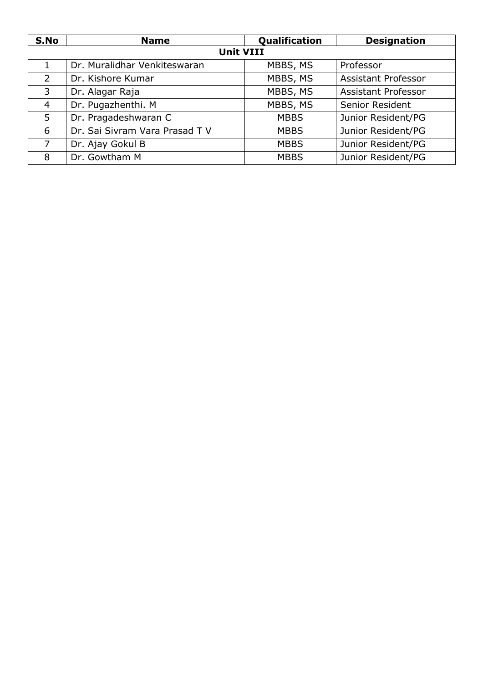| S.No           | <b>Name</b>                    | Qualification | <b>Designation</b>         |
|----------------|--------------------------------|---------------|----------------------------|
|                | <b>Unit VIII</b>               |               |                            |
| $\mathbf{1}$   | Dr. Muralidhar Venkiteswaran   | MBBS, MS      | Professor                  |
| 2              | Dr. Kishore Kumar              | MBBS, MS      | <b>Assistant Professor</b> |
| 3              | Dr. Alagar Raja                | MBBS, MS      | <b>Assistant Professor</b> |
| $\overline{4}$ | Dr. Pugazhenthi. M             | MBBS, MS      | Senior Resident            |
| 5              | Dr. Pragadeshwaran C           | <b>MBBS</b>   | Junior Resident/PG         |
| 6              | Dr. Sai Sivram Vara Prasad T V | <b>MBBS</b>   | Junior Resident/PG         |
| 7              | Dr. Ajay Gokul B               | <b>MBBS</b>   | Junior Resident/PG         |
| 8              | Dr. Gowtham M                  | <b>MBBS</b>   | Junior Resident/PG         |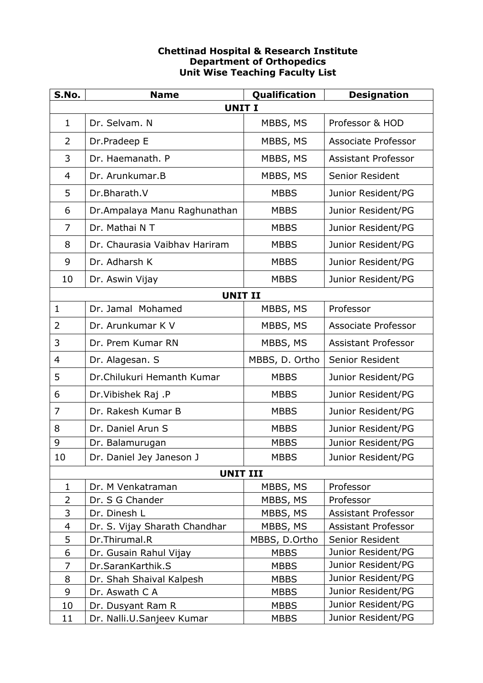# **Chettinad Hospital & Research Institute Department of Orthopedics Unit Wise Teaching Faculty List**

| S.No.          | <b>Name</b>                   | Qualification  | <b>Designation</b>         |
|----------------|-------------------------------|----------------|----------------------------|
|                | <b>UNIT I</b>                 |                |                            |
| $\mathbf{1}$   | Dr. Selvam. N                 | MBBS, MS       | Professor & HOD            |
| $\overline{2}$ | Dr.Pradeep E                  | MBBS, MS       | Associate Professor        |
| 3              | Dr. Haemanath. P              | MBBS, MS       | <b>Assistant Professor</b> |
| $\overline{4}$ | Dr. Arunkumar.B               | MBBS, MS       | <b>Senior Resident</b>     |
| 5              | Dr.Bharath.V                  | <b>MBBS</b>    | Junior Resident/PG         |
| 6              | Dr.Ampalaya Manu Raghunathan  | <b>MBBS</b>    | Junior Resident/PG         |
| $\overline{7}$ | Dr. Mathai N T                | <b>MBBS</b>    | Junior Resident/PG         |
| 8              | Dr. Chaurasia Vaibhay Hariram | <b>MBBS</b>    | Junior Resident/PG         |
| 9              | Dr. Adharsh K                 | <b>MBBS</b>    | Junior Resident/PG         |
| 10             | Dr. Aswin Vijay               | <b>MBBS</b>    | Junior Resident/PG         |
|                | <b>UNIT II</b>                |                |                            |
| $\mathbf{1}$   | Dr. Jamal Mohamed             | MBBS, MS       | Professor                  |
| 2              | Dr. Arunkumar K V             | MBBS, MS       | Associate Professor        |
| 3              | Dr. Prem Kumar RN             | MBBS, MS       | <b>Assistant Professor</b> |
| $\overline{4}$ | Dr. Alagesan. S               | MBBS, D. Ortho | <b>Senior Resident</b>     |
| 5              | Dr.Chilukuri Hemanth Kumar    | <b>MBBS</b>    | Junior Resident/PG         |
| 6              | Dr. Vibishek Raj .P           | <b>MBBS</b>    | Junior Resident/PG         |
| 7              | Dr. Rakesh Kumar B            | <b>MBBS</b>    | Junior Resident/PG         |
| 8              | Dr. Daniel Arun S             | <b>MBBS</b>    | Junior Resident/PG         |
| 9              | Dr. Balamurugan               | <b>MBBS</b>    | Junior Resident/PG         |
| 10             | Dr. Daniel Jey Janeson J      | <b>MBBS</b>    | Junior Resident/PG         |
|                | <b>UNIT III</b>               |                |                            |
| $\mathbf{1}$   | Dr. M Venkatraman             | MBBS, MS       | Professor                  |
| $\overline{2}$ | Dr. S G Chander               | MBBS, MS       | Professor                  |
| 3              | Dr. Dinesh L                  | MBBS, MS       | <b>Assistant Professor</b> |
| 4              | Dr. S. Vijay Sharath Chandhar | MBBS, MS       | <b>Assistant Professor</b> |
| 5              | Dr.Thirumal.R                 | MBBS, D.Ortho  | Senior Resident            |
| 6              | Dr. Gusain Rahul Vijay        | <b>MBBS</b>    | Junior Resident/PG         |
| 7              | Dr.SaranKarthik.S             | <b>MBBS</b>    | Junior Resident/PG         |
| 8              | Dr. Shah Shaival Kalpesh      | <b>MBBS</b>    | Junior Resident/PG         |
| 9              | Dr. Aswath C A                | <b>MBBS</b>    | Junior Resident/PG         |
| 10             | Dr. Dusyant Ram R             | <b>MBBS</b>    | Junior Resident/PG         |
| 11             | Dr. Nalli.U.Sanjeev Kumar     | <b>MBBS</b>    | Junior Resident/PG         |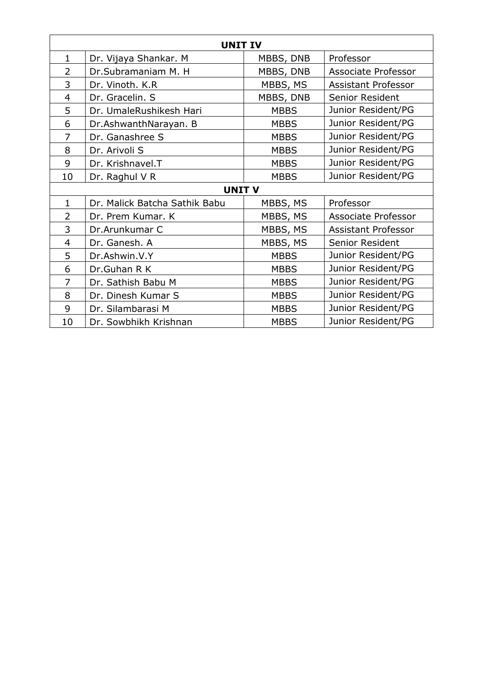| <b>UNIT IV</b> |                               |             |                            |
|----------------|-------------------------------|-------------|----------------------------|
| $\mathbf{1}$   | Dr. Vijaya Shankar. M         | MBBS, DNB   | Professor                  |
| $\overline{2}$ | Dr.Subramaniam M. H           | MBBS, DNB   | Associate Professor        |
| 3              | Dr. Vinoth. K.R               | MBBS, MS    | <b>Assistant Professor</b> |
| 4              | Dr. Gracelin. S               | MBBS, DNB   | Senior Resident            |
| 5              | Dr. UmaleRushikesh Hari       | <b>MBBS</b> | Junior Resident/PG         |
| 6              | Dr.AshwanthNarayan. B         | <b>MBBS</b> | Junior Resident/PG         |
| 7              | Dr. Ganashree S               | <b>MBBS</b> | Junior Resident/PG         |
| 8              | Dr. Arivoli S                 | <b>MBBS</b> | Junior Resident/PG         |
| 9              | Dr. Krishnavel.T              | <b>MBBS</b> | Junior Resident/PG         |
| 10             | Dr. Raghul V R                | <b>MBBS</b> | Junior Resident/PG         |
|                | <b>UNIT V</b>                 |             |                            |
| $\mathbf{1}$   | Dr. Malick Batcha Sathik Babu | MBBS, MS    | Professor                  |
| $\overline{2}$ | Dr. Prem Kumar. K             | MBBS, MS    | Associate Professor        |
| 3              | Dr.Arunkumar C                | MBBS, MS    | Assistant Professor        |
| 4              | Dr. Ganesh. A                 | MBBS, MS    | Senior Resident            |
| 5              | Dr.Ashwin.V.Y                 | <b>MBBS</b> | Junior Resident/PG         |
| 6              | Dr.Guhan R K                  | <b>MBBS</b> | Junior Resident/PG         |
| 7              | Dr. Sathish Babu M            | <b>MBBS</b> | Junior Resident/PG         |
| 8              | Dr. Dinesh Kumar S            | <b>MBBS</b> | Junior Resident/PG         |
| 9              | Dr. Silambarasi M             | <b>MBBS</b> | Junior Resident/PG         |
| 10             | Dr. Sowbhikh Krishnan         | <b>MBBS</b> | Junior Resident/PG         |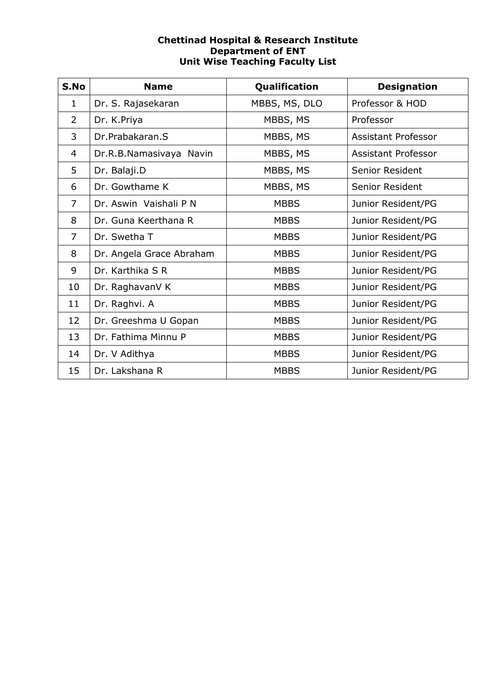## **Chettinad Hospital & Research Institute Department of ENT Unit Wise Teaching Faculty List**

| S.No           | <b>Name</b>              | Qualification | <b>Designation</b>         |
|----------------|--------------------------|---------------|----------------------------|
| $\mathbf 1$    | Dr. S. Rajasekaran       | MBBS, MS, DLO | Professor & HOD            |
| $\overline{2}$ | Dr. K.Priya              | MBBS, MS      | Professor                  |
| 3              | Dr.Prabakaran.S          | MBBS, MS      | <b>Assistant Professor</b> |
| 4              | Dr.R.B.Namasivaya Navin  | MBBS, MS      | <b>Assistant Professor</b> |
| 5              | Dr. Balaji.D             | MBBS, MS      | Senior Resident            |
| 6              | Dr. Gowthame K           | MBBS, MS      | Senior Resident            |
| 7              | Dr. Aswin Vaishali P N   | <b>MBBS</b>   | Junior Resident/PG         |
| 8              | Dr. Guna Keerthana R     | <b>MBBS</b>   | Junior Resident/PG         |
| 7              | Dr. Swetha T             | <b>MBBS</b>   | Junior Resident/PG         |
| 8              | Dr. Angela Grace Abraham | <b>MBBS</b>   | Junior Resident/PG         |
| 9              | Dr. Karthika S R         | <b>MBBS</b>   | Junior Resident/PG         |
| 10             | Dr. RaghavanV K          | <b>MBBS</b>   | Junior Resident/PG         |
| 11             | Dr. Raghvi. A            | <b>MBBS</b>   | Junior Resident/PG         |
| 12             | Dr. Greeshma U Gopan     | <b>MBBS</b>   | Junior Resident/PG         |
| 13             | Dr. Fathima Minnu P      | <b>MBBS</b>   | Junior Resident/PG         |
| 14             | Dr. V Adithya            | <b>MBBS</b>   | Junior Resident/PG         |
| 15             | Dr. Lakshana R           | <b>MBBS</b>   | Junior Resident/PG         |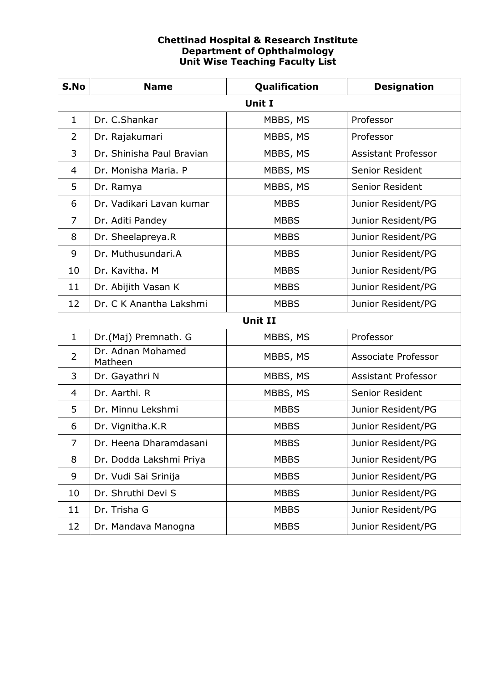#### **Chettinad Hospital & Research Institute Department of Ophthalmology Unit Wise Teaching Faculty List**

| S.No           | <b>Name</b>                  | Qualification  | <b>Designation</b>         |  |  |  |
|----------------|------------------------------|----------------|----------------------------|--|--|--|
| Unit I         |                              |                |                            |  |  |  |
| $\mathbf{1}$   | Dr. C.Shankar                | MBBS, MS       | Professor                  |  |  |  |
| 2              | Dr. Rajakumari               | MBBS, MS       | Professor                  |  |  |  |
| 3              | Dr. Shinisha Paul Bravian    | MBBS, MS       | <b>Assistant Professor</b> |  |  |  |
| $\overline{4}$ | Dr. Monisha Maria. P         | MBBS, MS       | Senior Resident            |  |  |  |
| 5              | Dr. Ramya                    | MBBS, MS       | Senior Resident            |  |  |  |
| 6              | Dr. Vadikari Lavan kumar     | <b>MBBS</b>    | Junior Resident/PG         |  |  |  |
| 7              | Dr. Aditi Pandey             | <b>MBBS</b>    | Junior Resident/PG         |  |  |  |
| 8              | Dr. Sheelapreya.R            | <b>MBBS</b>    | Junior Resident/PG         |  |  |  |
| 9              | Dr. Muthusundari.A           | <b>MBBS</b>    | Junior Resident/PG         |  |  |  |
| 10             | Dr. Kavitha. M               | <b>MBBS</b>    | Junior Resident/PG         |  |  |  |
| 11             | Dr. Abijith Vasan K          | <b>MBBS</b>    | Junior Resident/PG         |  |  |  |
| 12             | Dr. C K Anantha Lakshmi      | <b>MBBS</b>    | Junior Resident/PG         |  |  |  |
|                |                              | <b>Unit II</b> |                            |  |  |  |
| $\mathbf 1$    | Dr.(Maj) Premnath. G         | MBBS, MS       | Professor                  |  |  |  |
| 2              | Dr. Adnan Mohamed<br>Matheen | MBBS, MS       | <b>Associate Professor</b> |  |  |  |
| 3              | Dr. Gayathri N               | MBBS, MS       | <b>Assistant Professor</b> |  |  |  |
| $\overline{4}$ | Dr. Aarthi. R                | MBBS, MS       | Senior Resident            |  |  |  |
| 5              | Dr. Minnu Lekshmi            | <b>MBBS</b>    | Junior Resident/PG         |  |  |  |
| 6              | Dr. Vignitha.K.R             | <b>MBBS</b>    | Junior Resident/PG         |  |  |  |
| 7              | Dr. Heena Dharamdasani       | <b>MBBS</b>    | Junior Resident/PG         |  |  |  |
| 8              | Dr. Dodda Lakshmi Priya      | <b>MBBS</b>    | Junior Resident/PG         |  |  |  |
| 9              | Dr. Vudi Sai Srinija         | <b>MBBS</b>    | Junior Resident/PG         |  |  |  |
| 10             | Dr. Shruthi Devi S           | <b>MBBS</b>    | Junior Resident/PG         |  |  |  |
| 11             | Dr. Trisha G                 | <b>MBBS</b>    | Junior Resident/PG         |  |  |  |
| 12             | Dr. Mandava Manogna          | <b>MBBS</b>    | Junior Resident/PG         |  |  |  |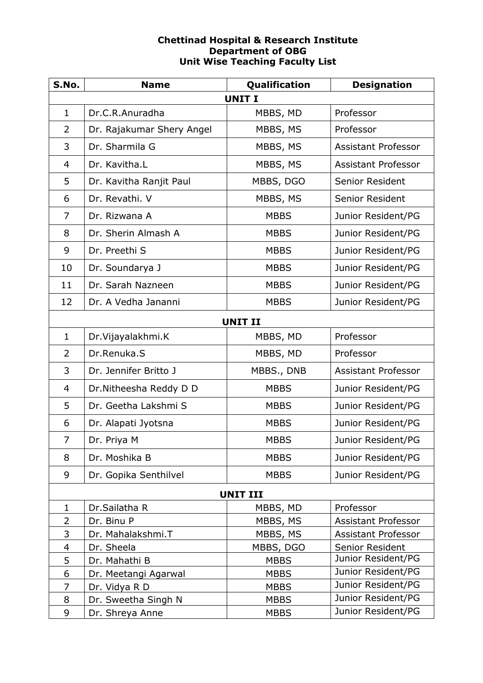## **Chettinad Hospital & Research Institute Department of OBG Unit Wise Teaching Faculty List**

| S.No.           | <b>Name</b>               | Qualification  | <b>Designation</b>         |  |  |  |
|-----------------|---------------------------|----------------|----------------------------|--|--|--|
| <b>UNIT I</b>   |                           |                |                            |  |  |  |
| $\mathbf{1}$    | Dr.C.R.Anuradha           | MBBS, MD       | Professor                  |  |  |  |
| $\overline{2}$  | Dr. Rajakumar Shery Angel | MBBS, MS       | Professor                  |  |  |  |
| 3               | Dr. Sharmila G            | MBBS, MS       | <b>Assistant Professor</b> |  |  |  |
| $\overline{4}$  | Dr. Kavitha.L             | MBBS, MS       | <b>Assistant Professor</b> |  |  |  |
| 5               | Dr. Kavitha Ranjit Paul   | MBBS, DGO      | Senior Resident            |  |  |  |
| 6               | Dr. Revathi. V            | MBBS, MS       | Senior Resident            |  |  |  |
| $\overline{7}$  | Dr. Rizwana A             | <b>MBBS</b>    | Junior Resident/PG         |  |  |  |
| 8               | Dr. Sherin Almash A       | <b>MBBS</b>    | Junior Resident/PG         |  |  |  |
| 9               | Dr. Preethi S             | <b>MBBS</b>    | Junior Resident/PG         |  |  |  |
| 10              | Dr. Soundarya J           | <b>MBBS</b>    | Junior Resident/PG         |  |  |  |
| 11              | Dr. Sarah Nazneen         | <b>MBBS</b>    | Junior Resident/PG         |  |  |  |
| 12              | Dr. A Vedha Jananni       | <b>MBBS</b>    | Junior Resident/PG         |  |  |  |
|                 |                           | <b>UNIT II</b> |                            |  |  |  |
| $\mathbf{1}$    | Dr. Vijayalakhmi. K       | MBBS, MD       | Professor                  |  |  |  |
| $\overline{2}$  | Dr.Renuka.S               | MBBS, MD       | Professor                  |  |  |  |
| 3               | Dr. Jennifer Britto J     | MBBS., DNB     | <b>Assistant Professor</b> |  |  |  |
| $\overline{4}$  | Dr. Nitheesha Reddy D D   | <b>MBBS</b>    | Junior Resident/PG         |  |  |  |
| 5               | Dr. Geetha Lakshmi S      | <b>MBBS</b>    | Junior Resident/PG         |  |  |  |
| 6               | Dr. Alapati Jyotsna       | <b>MBBS</b>    | Junior Resident/PG         |  |  |  |
| $\overline{7}$  | Dr. Priya M               | <b>MBBS</b>    | Junior Resident/PG         |  |  |  |
| 8               | Dr. Moshika B             | <b>MBBS</b>    | Junior Resident/PG         |  |  |  |
| 9               | Dr. Gopika Senthilvel     | <b>MBBS</b>    | Junior Resident/PG         |  |  |  |
| <b>UNIT III</b> |                           |                |                            |  |  |  |
| 1               | Dr.Sailatha R             | MBBS, MD       | Professor                  |  |  |  |
| $\overline{2}$  | Dr. Binu P                | MBBS, MS       | Assistant Professor        |  |  |  |
| 3               | Dr. Mahalakshmi.T         | MBBS, MS       | Assistant Professor        |  |  |  |
| $\overline{4}$  | Dr. Sheela                | MBBS, DGO      | Senior Resident            |  |  |  |
| 5               | Dr. Mahathi B             | <b>MBBS</b>    | Junior Resident/PG         |  |  |  |
| 6               | Dr. Meetangi Agarwal      | <b>MBBS</b>    | Junior Resident/PG         |  |  |  |
| $\overline{7}$  | Dr. Vidya R D             | <b>MBBS</b>    | Junior Resident/PG         |  |  |  |
| 8               | Dr. Sweetha Singh N       | <b>MBBS</b>    | Junior Resident/PG         |  |  |  |
| 9               | Dr. Shreya Anne           | <b>MBBS</b>    | Junior Resident/PG         |  |  |  |